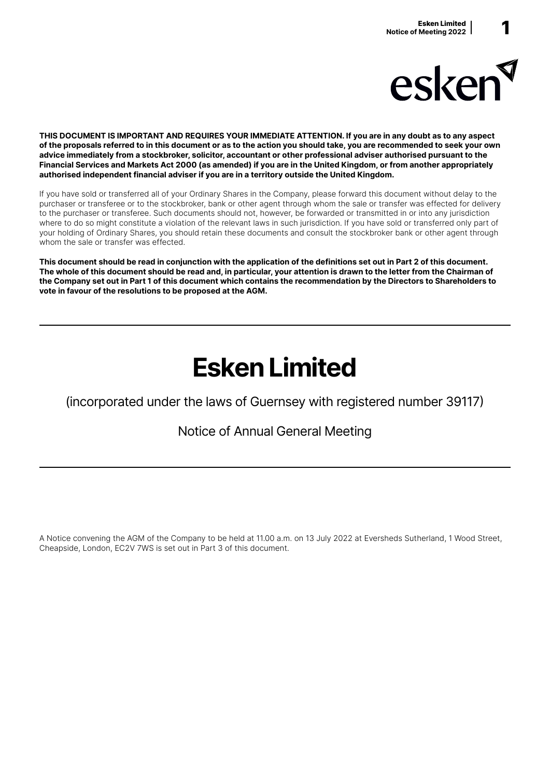

THIS DOCUMENT IS IMPORTANT AND REQUIRES YOUR IMMEDIATE ATTENTION. If you are in any doubt as to any aspect of the proposals referred to in this document or as to the action you should take, you are recommended to seek your own advice immediately from a stockbroker, solicitor, accountant or other professional adviser authorised pursuant to the Financial Services and Markets Act 2000 (as amended) if you are in the United Kingdom, or from another appropriately authorised independent financial adviser if you are in a territory outside the United Kingdom.

If you have sold or transferred all of your Ordinary Shares in the Company, please forward this document without delay to the purchaser or transferee or to the stockbroker, bank or other agent through whom the sale or transfer was effected for delivery to the purchaser or transferee. Such documents should not, however, be forwarded or transmitted in or into any jurisdiction where to do so might constitute a violation of the relevant laws in such jurisdiction. If you have sold or transferred only part of your holding of Ordinary Shares, you should retain these documents and consult the stockbroker bank or other agent through whom the sale or transfer was effected.

This document should be read in conjunction with the application of the definitions set out in Part 2 of this document. The whole of this document should be read and, in particular, your attention is drawn to the letter from the Chairman of the Company set out in Part 1 of this document which contains the recommendation by the Directors to Shareholders to vote in favour of the resolutions to be proposed at the AGM.

# Esken Limited

(incorporated under the laws of Guernsey with registered number 39117)

# Notice of Annual General Meeting

A Notice convening the AGM of the Company to be held at 11.00 a.m. on 13 July 2022 at Eversheds Sutherland, 1 Wood Street, Cheapside, London, EC2V 7WS is set out in Part 3 of this document.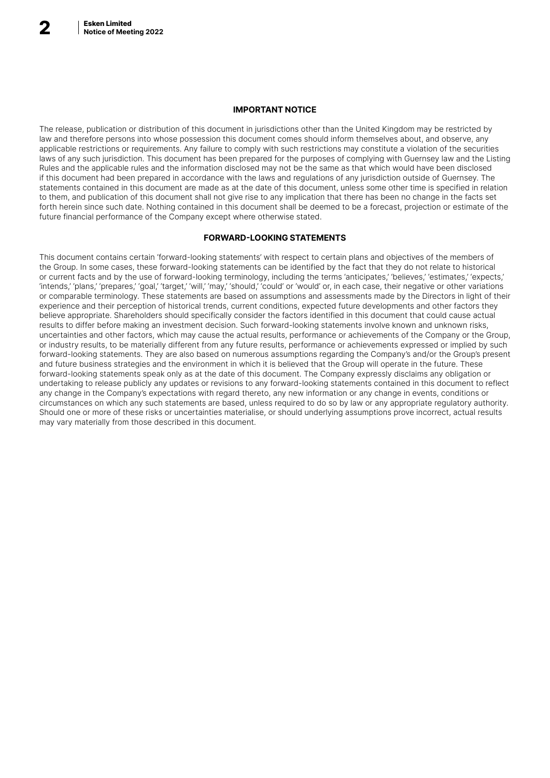### IMPORTANT NOTICE

The release, publication or distribution of this document in jurisdictions other than the United Kingdom may be restricted by law and therefore persons into whose possession this document comes should inform themselves about, and observe, any applicable restrictions or requirements. Any failure to comply with such restrictions may constitute a violation of the securities laws of any such jurisdiction. This document has been prepared for the purposes of complying with Guernsey law and the Listing Rules and the applicable rules and the information disclosed may not be the same as that which would have been disclosed if this document had been prepared in accordance with the laws and regulations of any jurisdiction outside of Guernsey. The statements contained in this document are made as at the date of this document, unless some other time is specified in relation to them, and publication of this document shall not give rise to any implication that there has been no change in the facts set forth herein since such date. Nothing contained in this document shall be deemed to be a forecast, projection or estimate of the future financial performance of the Company except where otherwise stated.

### FORWARD-LOOKING STATEMENTS

This document contains certain 'forward-looking statements' with respect to certain plans and objectives of the members of the Group. In some cases, these forward-looking statements can be identified by the fact that they do not relate to historical or current facts and by the use of forward-looking terminology, including the terms 'anticipates,' 'believes,' 'estimates,' 'expects,' 'intends,' 'plans,' 'prepares,' 'goal,' 'target,' 'will,' 'may,' 'should,' 'could' or 'would' or, in each case, their negative or other variations or comparable terminology. These statements are based on assumptions and assessments made by the Directors in light of their experience and their perception of historical trends, current conditions, expected future developments and other factors they believe appropriate. Shareholders should specifically consider the factors identified in this document that could cause actual results to differ before making an investment decision. Such forward-looking statements involve known and unknown risks, uncertainties and other factors, which may cause the actual results, performance or achievements of the Company or the Group, or industry results, to be materially different from any future results, performance or achievements expressed or implied by such forward-looking statements. They are also based on numerous assumptions regarding the Company's and/or the Group's present and future business strategies and the environment in which it is believed that the Group will operate in the future. These forward-looking statements speak only as at the date of this document. The Company expressly disclaims any obligation or undertaking to release publicly any updates or revisions to any forward-looking statements contained in this document to reflect any change in the Company's expectations with regard thereto, any new information or any change in events, conditions or circumstances on which any such statements are based, unless required to do so by law or any appropriate regulatory authority. Should one or more of these risks or uncertainties materialise, or should underlying assumptions prove incorrect, actual results may vary materially from those described in this document.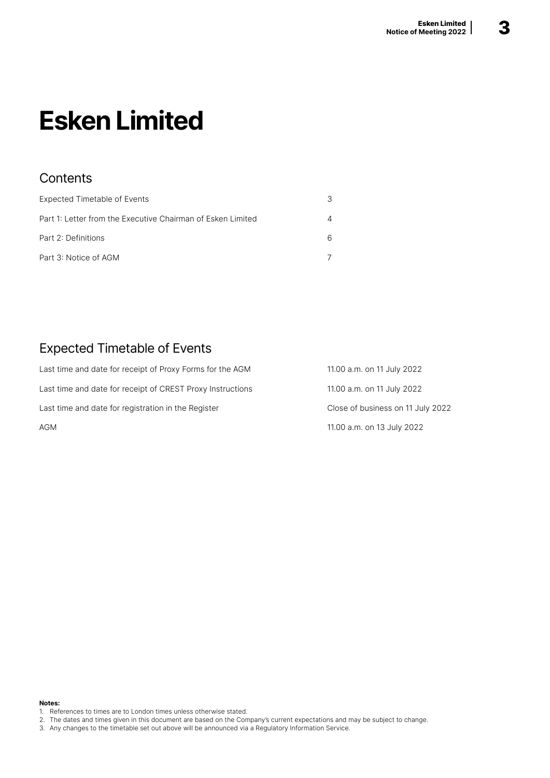# Esken Limited

# **Contents**

| Expected Timetable of Events                                |   |
|-------------------------------------------------------------|---|
| Part 1: Letter from the Executive Chairman of Esken Limited |   |
| Part 2: Definitions                                         | 6 |
| Part 3: Notice of AGM                                       |   |

# Expected Timetable of Events

| Last time and date for receipt of Proxy Forms for the AGM  | 11.00 a.m. on 11 July 2022        |
|------------------------------------------------------------|-----------------------------------|
| Last time and date for receipt of CREST Proxy Instructions | 11.00 a.m. on 11 July 2022        |
| Last time and date for registration in the Register        | Close of business on 11 July 2022 |
| <b>AGM</b>                                                 | 11.00 a.m. on 13 July 2022        |

### Notes:

- 1. References to times are to London times unless otherwise stated.
- 2. The dates and times given in this document are based on the Company's current expectations and may be subject to change.
- 3. Any changes to the timetable set out above will be announced via a Regulatory Information Service.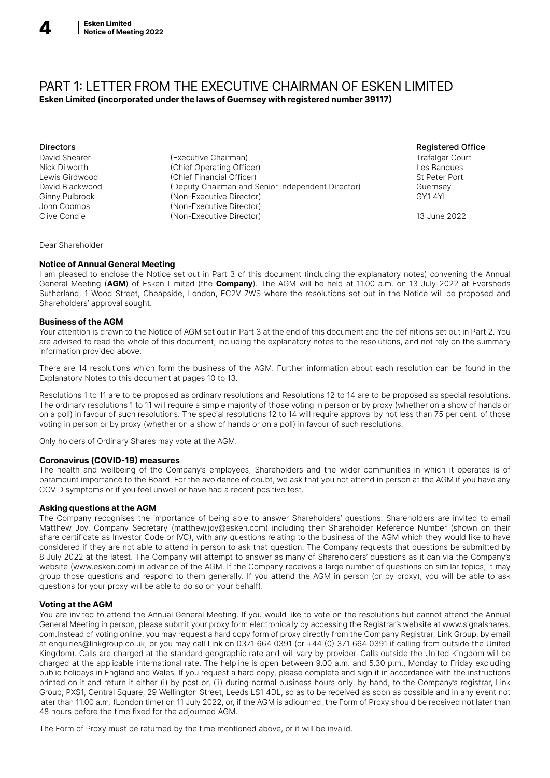

### PART 1: LETTER FROM THE EXECUTIVE CHAIRMAN OF ESKEN LIMITED Esken Limited (incorporated under the laws of Guernsey with registered number 39117)

Directors Registered Office David Shearer (Executive Chairman) Trafalgar Court Nick Dilworth (Chief Operating Officer) Les Banques Lewis Girdwood (Chief Financial Officer)<br>
David Blackwood (Deputy Chairman and S (Deputy Chairman and Senior Independent Director) Guernsey Ginny Pulbrook (Non-Executive Director) (GY1 4YL GY1 4YL GY1 4YL GY1 4YL GY1 4YL GY1 4YL (Non-Executive Director) Clive Condie (Non-Executive Director) 13 June 2022

Dear Shareholder

### Notice of Annual General Meeting

I am pleased to enclose the Notice set out in Part 3 of this document (including the explanatory notes) convening the Annual General Meeting (AGM) of Esken Limited (the Company). The AGM will be held at 11.00 a.m. on 13 July 2022 at Eversheds Sutherland, 1 Wood Street, Cheapside, London, EC2V 7WS where the resolutions set out in the Notice will be proposed and Shareholders' approval sought.

### Business of the AGM

Your attention is drawn to the Notice of AGM set out in Part 3 at the end of this document and the definitions set out in Part 2. You are advised to read the whole of this document, including the explanatory notes to the resolutions, and not rely on the summary information provided above.

There are 14 resolutions which form the business of the AGM. Further information about each resolution can be found in the Explanatory Notes to this document at pages 10 to 13.

Resolutions 1 to 11 are to be proposed as ordinary resolutions and Resolutions 12 to 14 are to be proposed as special resolutions. The ordinary resolutions 1 to 11 will require a simple majority of those voting in person or by proxy (whether on a show of hands or on a poll) in favour of such resolutions. The special resolutions 12 to 14 will require approval by not less than 75 per cent. of those voting in person or by proxy (whether on a show of hands or on a poll) in favour of such resolutions.

Only holders of Ordinary Shares may vote at the AGM.

### Coronavirus (COVID-19) measures

The health and wellbeing of the Company's employees, Shareholders and the wider communities in which it operates is of paramount importance to the Board. For the avoidance of doubt, we ask that you not attend in person at the AGM if you have any COVID symptoms or if you feel unwell or have had a recent positive test.

### Asking questions at the AGM

The Company recognises the importance of being able to answer Shareholders' questions. Shareholders are invited to email Matthew Joy, Company Secretary (matthew.joy@esken.com) including their Shareholder Reference Number (shown on their share certificate as Investor Code or IVC), with any questions relating to the business of the AGM which they would like to have considered if they are not able to attend in person to ask that question. The Company requests that questions be submitted by 8 July 2022 at the latest. The Company will attempt to answer as many of Shareholders' questions as it can via the Company's website (www.esken.com) in advance of the AGM. If the Company receives a large number of questions on similar topics, it may group those questions and respond to them generally. If you attend the AGM in person (or by proxy), you will be able to ask questions (or your proxy will be able to do so on your behalf).

### Voting at the AGM

You are invited to attend the Annual General Meeting. If you would like to vote on the resolutions but cannot attend the Annual General Meeting in person, please submit your proxy form electronically by accessing the Registrar's website at www.signalshares. com.Instead of voting online, you may request a hard copy form of proxy directly from the Company Registrar, Link Group, by email at enquiries@linkgroup.co.uk, or you may call Link on 0371 664 0391 (or +44 (0) 371 664 0391 if calling from outside the United Kingdom). Calls are charged at the standard geographic rate and will vary by provider. Calls outside the United Kingdom will be charged at the applicable international rate. The helpline is open between 9.00 a.m. and 5.30 p.m., Monday to Friday excluding public holidays in England and Wales. If you request a hard copy, please complete and sign it in accordance with the instructions printed on it and return it either (i) by post or, (ii) during normal business hours only, by hand, to the Company's registrar, Link Group, PXS1, Central Square, 29 Wellington Street, Leeds LS1 4DL, so as to be received as soon as possible and in any event not later than 11.00 a.m. (London time) on 11 July 2022, or, if the AGM is adjourned, the Form of Proxy should be received not later than 48 hours before the time fixed for the adjourned AGM.

The Form of Proxy must be returned by the time mentioned above, or it will be invalid.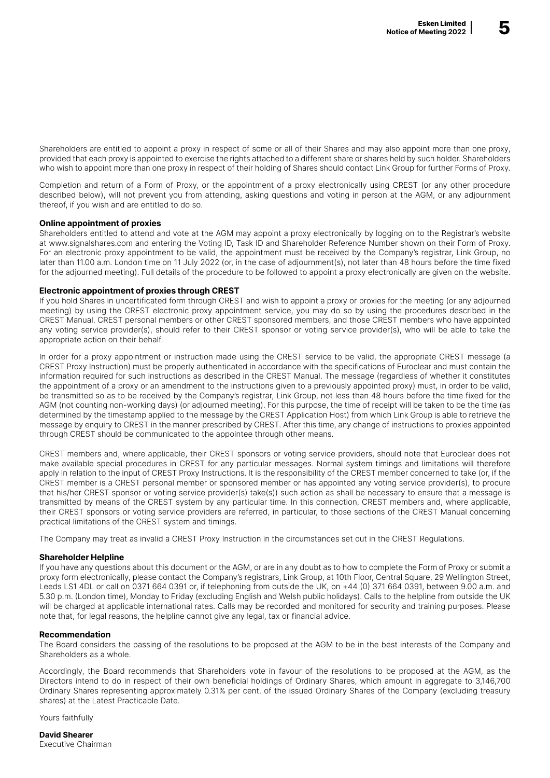Shareholders are entitled to appoint a proxy in respect of some or all of their Shares and may also appoint more than one proxy, provided that each proxy is appointed to exercise the rights attached to a different share or shares held by such holder. Shareholders who wish to appoint more than one proxy in respect of their holding of Shares should contact Link Group for further Forms of Proxy.

Completion and return of a Form of Proxy, or the appointment of a proxy electronically using CREST (or any other procedure described below), will not prevent you from attending, asking questions and voting in person at the AGM, or any adjournment thereof, if you wish and are entitled to do so.

### Online appointment of proxies

Shareholders entitled to attend and vote at the AGM may appoint a proxy electronically by logging on to the Registrar's website at www.signalshares.com and entering the Voting ID, Task ID and Shareholder Reference Number shown on their Form of Proxy. For an electronic proxy appointment to be valid, the appointment must be received by the Company's registrar, Link Group, no later than 11.00 a.m. London time on 11 July 2022 (or, in the case of adjournment(s), not later than 48 hours before the time fixed for the adjourned meeting). Full details of the procedure to be followed to appoint a proxy electronically are given on the website.

#### Electronic appointment of proxies through CREST

If you hold Shares in uncertificated form through CREST and wish to appoint a proxy or proxies for the meeting (or any adjourned meeting) by using the CREST electronic proxy appointment service, you may do so by using the procedures described in the CREST Manual. CREST personal members or other CREST sponsored members, and those CREST members who have appointed any voting service provider(s), should refer to their CREST sponsor or voting service provider(s), who will be able to take the appropriate action on their behalf.

In order for a proxy appointment or instruction made using the CREST service to be valid, the appropriate CREST message (a CREST Proxy Instruction) must be properly authenticated in accordance with the specifications of Euroclear and must contain the information required for such instructions as described in the CREST Manual. The message (regardless of whether it constitutes the appointment of a proxy or an amendment to the instructions given to a previously appointed proxy) must, in order to be valid, be transmitted so as to be received by the Company's registrar, Link Group, not less than 48 hours before the time fixed for the AGM (not counting non-working days) (or adjourned meeting). For this purpose, the time of receipt will be taken to be the time (as determined by the timestamp applied to the message by the CREST Application Host) from which Link Group is able to retrieve the message by enquiry to CREST in the manner prescribed by CREST. After this time, any change of instructions to proxies appointed through CREST should be communicated to the appointee through other means.

CREST members and, where applicable, their CREST sponsors or voting service providers, should note that Euroclear does not make available special procedures in CREST for any particular messages. Normal system timings and limitations will therefore apply in relation to the input of CREST Proxy Instructions. It is the responsibility of the CREST member concerned to take (or, if the CREST member is a CREST personal member or sponsored member or has appointed any voting service provider(s), to procure that his/her CREST sponsor or voting service provider(s) take(s)) such action as shall be necessary to ensure that a message is transmitted by means of the CREST system by any particular time. In this connection, CREST members and, where applicable, their CREST sponsors or voting service providers are referred, in particular, to those sections of the CREST Manual concerning practical limitations of the CREST system and timings.

The Company may treat as invalid a CREST Proxy Instruction in the circumstances set out in the CREST Regulations.

### Shareholder Helpline

If you have any questions about this document or the AGM, or are in any doubt as to how to complete the Form of Proxy or submit a proxy form electronically, please contact the Company's registrars, Link Group, at 10th Floor, Central Square, 29 Wellington Street, Leeds LS1 4DL or call on 0371 664 0391 or, if telephoning from outside the UK, on +44 (0) 371 664 0391, between 9.00 a.m. and 5.30 p.m. (London time), Monday to Friday (excluding English and Welsh public holidays). Calls to the helpline from outside the UK will be charged at applicable international rates. Calls may be recorded and monitored for security and training purposes. Please note that, for legal reasons, the helpline cannot give any legal, tax or financial advice.

#### Recommendation

The Board considers the passing of the resolutions to be proposed at the AGM to be in the best interests of the Company and Shareholders as a whole.

Accordingly, the Board recommends that Shareholders vote in favour of the resolutions to be proposed at the AGM, as the Directors intend to do in respect of their own beneficial holdings of Ordinary Shares, which amount in aggregate to 3,146,700 Ordinary Shares representing approximately 0.31% per cent. of the issued Ordinary Shares of the Company (excluding treasury shares) at the Latest Practicable Date.

Yours faithfully

David Shearer Executive Chairman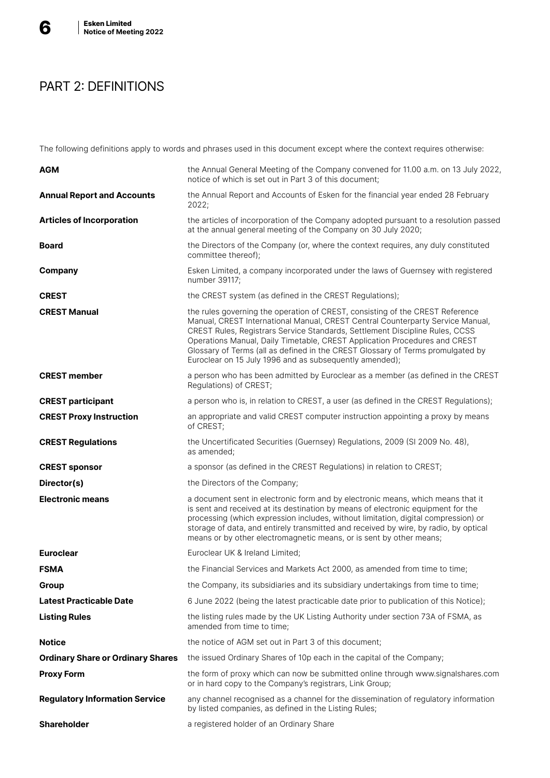

# PART 2: DEFINITIONS

The following definitions apply to words and phrases used in this document except where the context requires otherwise:

| <b>AGM</b>                               | the Annual General Meeting of the Company convened for 11.00 a.m. on 13 July 2022,<br>notice of which is set out in Part 3 of this document;                                                                                                                                                                                                                                                                                                                                |
|------------------------------------------|-----------------------------------------------------------------------------------------------------------------------------------------------------------------------------------------------------------------------------------------------------------------------------------------------------------------------------------------------------------------------------------------------------------------------------------------------------------------------------|
| <b>Annual Report and Accounts</b>        | the Annual Report and Accounts of Esken for the financial year ended 28 February<br>2022;                                                                                                                                                                                                                                                                                                                                                                                   |
| <b>Articles of Incorporation</b>         | the articles of incorporation of the Company adopted pursuant to a resolution passed<br>at the annual general meeting of the Company on 30 July 2020;                                                                                                                                                                                                                                                                                                                       |
| <b>Board</b>                             | the Directors of the Company (or, where the context requires, any duly constituted<br>committee thereof);                                                                                                                                                                                                                                                                                                                                                                   |
| Company                                  | Esken Limited, a company incorporated under the laws of Guernsey with registered<br>number 39117;                                                                                                                                                                                                                                                                                                                                                                           |
| <b>CREST</b>                             | the CREST system (as defined in the CREST Regulations);                                                                                                                                                                                                                                                                                                                                                                                                                     |
| <b>CREST Manual</b>                      | the rules governing the operation of CREST, consisting of the CREST Reference<br>Manual, CREST International Manual, CREST Central Counterparty Service Manual,<br>CREST Rules, Registrars Service Standards, Settlement Discipline Rules, CCSS<br>Operations Manual, Daily Timetable, CREST Application Procedures and CREST<br>Glossary of Terms (all as defined in the CREST Glossary of Terms promulgated by<br>Euroclear on 15 July 1996 and as subsequently amended); |
| <b>CREST member</b>                      | a person who has been admitted by Euroclear as a member (as defined in the CREST<br>Regulations) of CREST;                                                                                                                                                                                                                                                                                                                                                                  |
| <b>CREST participant</b>                 | a person who is, in relation to CREST, a user (as defined in the CREST Regulations);                                                                                                                                                                                                                                                                                                                                                                                        |
| <b>CREST Proxy Instruction</b>           | an appropriate and valid CREST computer instruction appointing a proxy by means<br>of CREST;                                                                                                                                                                                                                                                                                                                                                                                |
| <b>CREST Regulations</b>                 | the Uncertificated Securities (Guernsey) Regulations, 2009 (SI 2009 No. 48),<br>as amended;                                                                                                                                                                                                                                                                                                                                                                                 |
| <b>CREST sponsor</b>                     | a sponsor (as defined in the CREST Regulations) in relation to CREST;                                                                                                                                                                                                                                                                                                                                                                                                       |
| Director(s)                              | the Directors of the Company;                                                                                                                                                                                                                                                                                                                                                                                                                                               |
| <b>Electronic means</b>                  | a document sent in electronic form and by electronic means, which means that it<br>is sent and received at its destination by means of electronic equipment for the<br>processing (which expression includes, without limitation, digital compression) or<br>storage of data, and entirely transmitted and received by wire, by radio, by optical<br>means or by other electromagnetic means, or is sent by other means;                                                    |
| <b>Euroclear</b>                         | Euroclear UK & Ireland Limited;                                                                                                                                                                                                                                                                                                                                                                                                                                             |
| <b>FSMA</b>                              | the Financial Services and Markets Act 2000, as amended from time to time;                                                                                                                                                                                                                                                                                                                                                                                                  |
| Group                                    | the Company, its subsidiaries and its subsidiary undertakings from time to time;                                                                                                                                                                                                                                                                                                                                                                                            |
| <b>Latest Practicable Date</b>           | 6 June 2022 (being the latest practicable date prior to publication of this Notice);                                                                                                                                                                                                                                                                                                                                                                                        |
| <b>Listing Rules</b>                     | the listing rules made by the UK Listing Authority under section 73A of FSMA, as<br>amended from time to time;                                                                                                                                                                                                                                                                                                                                                              |
| <b>Notice</b>                            | the notice of AGM set out in Part 3 of this document;                                                                                                                                                                                                                                                                                                                                                                                                                       |
| <b>Ordinary Share or Ordinary Shares</b> | the issued Ordinary Shares of 10p each in the capital of the Company;                                                                                                                                                                                                                                                                                                                                                                                                       |
| <b>Proxy Form</b>                        | the form of proxy which can now be submitted online through www.signalshares.com<br>or in hard copy to the Company's registrars, Link Group;                                                                                                                                                                                                                                                                                                                                |
| <b>Regulatory Information Service</b>    | any channel recognised as a channel for the dissemination of regulatory information<br>by listed companies, as defined in the Listing Rules;                                                                                                                                                                                                                                                                                                                                |
| <b>Shareholder</b>                       | a registered holder of an Ordinary Share                                                                                                                                                                                                                                                                                                                                                                                                                                    |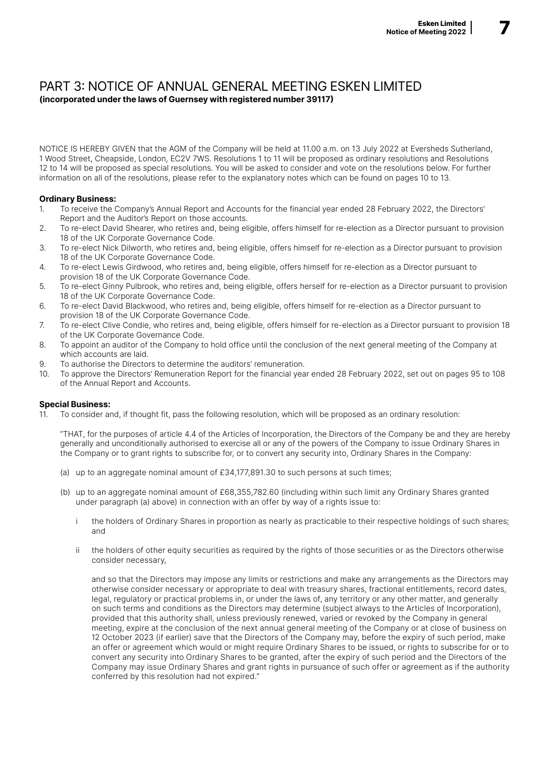### PART 3: NOTICE OF ANNUAL GENERAL MEETING ESKEN LIMITED (incorporated under the laws of Guernsey with registered number 39117)

NOTICE IS HEREBY GIVEN that the AGM of the Company will be held at 11.00 a.m. on 13 July 2022 at Eversheds Sutherland, 1 Wood Street, Cheapside, London, EC2V 7WS. Resolutions 1 to 11 will be proposed as ordinary resolutions and Resolutions 12 to 14 will be proposed as special resolutions. You will be asked to consider and vote on the resolutions below. For further information on all of the resolutions, please refer to the explanatory notes which can be found on pages 10 to 13.

### Ordinary Business:

- 1. To receive the Company's Annual Report and Accounts for the financial year ended 28 February 2022, the Directors' Report and the Auditor's Report on those accounts.
- 2. To re-elect David Shearer, who retires and, being eligible, offers himself for re-election as a Director pursuant to provision 18 of the UK Corporate Governance Code.
- 3. To re-elect Nick Dilworth, who retires and, being eligible, offers himself for re-election as a Director pursuant to provision 18 of the UK Corporate Governance Code.
- 4. To re-elect Lewis Girdwood, who retires and, being eligible, offers himself for re-election as a Director pursuant to provision 18 of the UK Corporate Governance Code.
- 5. To re-elect Ginny Pulbrook, who retires and, being eligible, offers herself for re-election as a Director pursuant to provision 18 of the UK Corporate Governance Code.
- 6. To re-elect David Blackwood, who retires and, being eligible, offers himself for re-election as a Director pursuant to provision 18 of the UK Corporate Governance Code.
- 7. To re-elect Clive Condie, who retires and, being eligible, offers himself for re-election as a Director pursuant to provision 18 of the UK Corporate Governance Code.
- 8. To appoint an auditor of the Company to hold office until the conclusion of the next general meeting of the Company at which accounts are laid.
- 9. To authorise the Directors to determine the auditors' remuneration.
- 10. To approve the Directors' Remuneration Report for the financial year ended 28 February 2022, set out on pages 95 to 108 of the Annual Report and Accounts.

### Special Business:

11. To consider and, if thought fit, pass the following resolution, which will be proposed as an ordinary resolution:

"THAT, for the purposes of article 4.4 of the Articles of Incorporation, the Directors of the Company be and they are hereby generally and unconditionally authorised to exercise all or any of the powers of the Company to issue Ordinary Shares in the Company or to grant rights to subscribe for, or to convert any security into, Ordinary Shares in the Company:

- (a) up to an aggregate nominal amount of  $£34,177,891,30$  to such persons at such times;
- (b) up to an aggregate nominal amount of £68,355,782.60 (including within such limit any Ordinary Shares granted under paragraph (a) above) in connection with an offer by way of a rights issue to:
	- i the holders of Ordinary Shares in proportion as nearly as practicable to their respective holdings of such shares; and
	- ii the holders of other equity securities as required by the rights of those securities or as the Directors otherwise consider necessary,

and so that the Directors may impose any limits or restrictions and make any arrangements as the Directors may otherwise consider necessary or appropriate to deal with treasury shares, fractional entitlements, record dates, legal, regulatory or practical problems in, or under the laws of, any territory or any other matter, and generally on such terms and conditions as the Directors may determine (subject always to the Articles of Incorporation), provided that this authority shall, unless previously renewed, varied or revoked by the Company in general meeting, expire at the conclusion of the next annual general meeting of the Company or at close of business on 12 October 2023 (if earlier) save that the Directors of the Company may, before the expiry of such period, make an offer or agreement which would or might require Ordinary Shares to be issued, or rights to subscribe for or to convert any security into Ordinary Shares to be granted, after the expiry of such period and the Directors of the Company may issue Ordinary Shares and grant rights in pursuance of such offer or agreement as if the authority conferred by this resolution had not expired."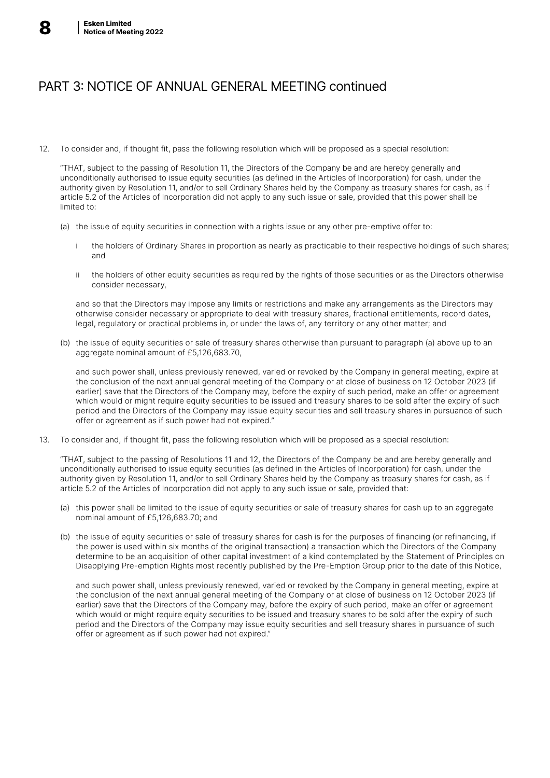

# PART 3: NOTICE OF ANNUAL GENERAL MEETING continued

12. To consider and, if thought fit, pass the following resolution which will be proposed as a special resolution:

"THAT, subject to the passing of Resolution 11, the Directors of the Company be and are hereby generally and unconditionally authorised to issue equity securities (as defined in the Articles of Incorporation) for cash, under the authority given by Resolution 11, and/or to sell Ordinary Shares held by the Company as treasury shares for cash, as if article 5.2 of the Articles of Incorporation did not apply to any such issue or sale, provided that this power shall be limited to:

- (a) the issue of equity securities in connection with a rights issue or any other pre-emptive offer to:
	- i the holders of Ordinary Shares in proportion as nearly as practicable to their respective holdings of such shares; and
	- ii the holders of other equity securities as required by the rights of those securities or as the Directors otherwise consider necessary,

and so that the Directors may impose any limits or restrictions and make any arrangements as the Directors may otherwise consider necessary or appropriate to deal with treasury shares, fractional entitlements, record dates, legal, regulatory or practical problems in, or under the laws of, any territory or any other matter; and

(b) the issue of equity securities or sale of treasury shares otherwise than pursuant to paragraph (a) above up to an aggregate nominal amount of £5,126,683.70,

and such power shall, unless previously renewed, varied or revoked by the Company in general meeting, expire at the conclusion of the next annual general meeting of the Company or at close of business on 12 October 2023 (if earlier) save that the Directors of the Company may, before the expiry of such period, make an offer or agreement which would or might require equity securities to be issued and treasury shares to be sold after the expiry of such period and the Directors of the Company may issue equity securities and sell treasury shares in pursuance of such offer or agreement as if such power had not expired."

13. To consider and, if thought fit, pass the following resolution which will be proposed as a special resolution:

"THAT, subject to the passing of Resolutions 11 and 12, the Directors of the Company be and are hereby generally and unconditionally authorised to issue equity securities (as defined in the Articles of Incorporation) for cash, under the authority given by Resolution 11, and/or to sell Ordinary Shares held by the Company as treasury shares for cash, as if article 5.2 of the Articles of Incorporation did not apply to any such issue or sale, provided that:

- (a) this power shall be limited to the issue of equity securities or sale of treasury shares for cash up to an aggregate nominal amount of £5,126,683.70; and
- (b) the issue of equity securities or sale of treasury shares for cash is for the purposes of financing (or refinancing, if the power is used within six months of the original transaction) a transaction which the Directors of the Company determine to be an acquisition of other capital investment of a kind contemplated by the Statement of Principles on Disapplying Pre-emption Rights most recently published by the Pre-Emption Group prior to the date of this Notice,

and such power shall, unless previously renewed, varied or revoked by the Company in general meeting, expire at the conclusion of the next annual general meeting of the Company or at close of business on 12 October 2023 (if earlier) save that the Directors of the Company may, before the expiry of such period, make an offer or agreement which would or might require equity securities to be issued and treasury shares to be sold after the expiry of such period and the Directors of the Company may issue equity securities and sell treasury shares in pursuance of such offer or agreement as if such power had not expired."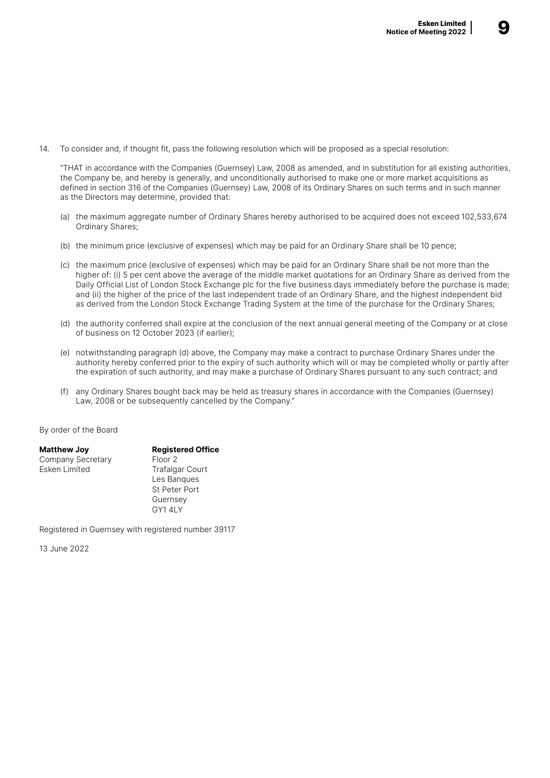14. To consider and, if thought fit, pass the following resolution which will be proposed as a special resolution:

"THAT in accordance with the Companies (Guernsey) Law, 2008 as amended, and in substitution for all existing authorities, the Company be, and hereby is generally, and unconditionally authorised to make one or more market acquisitions as defined in section 316 of the Companies (Guernsey) Law, 2008 of its Ordinary Shares on such terms and in such manner as the Directors may determine, provided that:

- (a) the maximum aggregate number of Ordinary Shares hereby authorised to be acquired does not exceed 102,533,674 Ordinary Shares;
- (b) the minimum price (exclusive of expenses) which may be paid for an Ordinary Share shall be 10 pence;
- (c) the maximum price (exclusive of expenses) which may be paid for an Ordinary Share shall be not more than the higher of: (i) 5 per cent above the average of the middle market quotations for an Ordinary Share as derived from the Daily Official List of London Stock Exchange plc for the five business days immediately before the purchase is made; and (ii) the higher of the price of the last independent trade of an Ordinary Share, and the highest independent bid as derived from the London Stock Exchange Trading System at the time of the purchase for the Ordinary Shares;
- (d) the authority conferred shall expire at the conclusion of the next annual general meeting of the Company or at close of business on 12 October 2023 (if earlier);
- (e) notwithstanding paragraph (d) above, the Company may make a contract to purchase Ordinary Shares under the authority hereby conferred prior to the expiry of such authority which will or may be completed wholly or partly after the expiration of such authority, and may make a purchase of Ordinary Shares pursuant to any such contract; and
- (f) any Ordinary Shares bought back may be held as treasury shares in accordance with the Companies (Guernsey) Law, 2008 or be subsequently cancelled by the Company."

By order of the Board

| <b>Matthew Joy</b> | <b>Registered Office</b> |
|--------------------|--------------------------|
| Company Secretary  | Floor <sub>2</sub>       |
| Esken Limited      | <b>Trafalgar Court</b>   |
|                    | Les Bangues              |
|                    | <b>St Peter Port</b>     |
|                    | Guernsey                 |
|                    | GY14LY                   |

Registered in Guernsey with registered number 39117

13 June 2022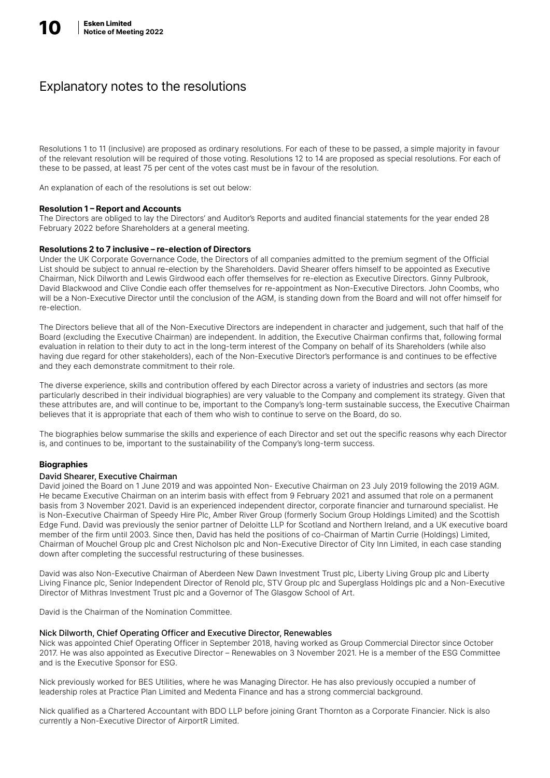## Explanatory notes to the resolutions

Resolutions 1 to 11 (inclusive) are proposed as ordinary resolutions. For each of these to be passed, a simple majority in favour of the relevant resolution will be required of those voting. Resolutions 12 to 14 are proposed as special resolutions. For each of these to be passed, at least 75 per cent of the votes cast must be in favour of the resolution.

An explanation of each of the resolutions is set out below:

### Resolution 1 – Report and Accounts

The Directors are obliged to lay the Directors' and Auditor's Reports and audited financial statements for the year ended 28 February 2022 before Shareholders at a general meeting.

### Resolutions 2 to 7 inclusive – re-election of Directors

Under the UK Corporate Governance Code, the Directors of all companies admitted to the premium segment of the Official List should be subject to annual re-election by the Shareholders. David Shearer offers himself to be appointed as Executive Chairman, Nick Dilworth and Lewis Girdwood each offer themselves for re-election as Executive Directors. Ginny Pulbrook, David Blackwood and Clive Condie each offer themselves for re-appointment as Non-Executive Directors. John Coombs, who will be a Non-Executive Director until the conclusion of the AGM, is standing down from the Board and will not offer himself for re-election.

The Directors believe that all of the Non-Executive Directors are independent in character and judgement, such that half of the Board (excluding the Executive Chairman) are independent. In addition, the Executive Chairman confirms that, following formal evaluation in relation to their duty to act in the long-term interest of the Company on behalf of its Shareholders (while also having due regard for other stakeholders), each of the Non-Executive Director's performance is and continues to be effective and they each demonstrate commitment to their role.

The diverse experience, skills and contribution offered by each Director across a variety of industries and sectors (as more particularly described in their individual biographies) are very valuable to the Company and complement its strategy. Given that these attributes are, and will continue to be, important to the Company's long-term sustainable success, the Executive Chairman believes that it is appropriate that each of them who wish to continue to serve on the Board, do so.

The biographies below summarise the skills and experience of each Director and set out the specific reasons why each Director is, and continues to be, important to the sustainability of the Company's long-term success.

### **Biographies**

### David Shearer, Executive Chairman

David joined the Board on 1 June 2019 and was appointed Non- Executive Chairman on 23 July 2019 following the 2019 AGM. He became Executive Chairman on an interim basis with effect from 9 February 2021 and assumed that role on a permanent basis from 3 November 2021. David is an experienced independent director, corporate financier and turnaround specialist. He is Non-Executive Chairman of Speedy Hire Plc, Amber River Group (formerly Socium Group Holdings Limited) and the Scottish Edge Fund. David was previously the senior partner of Deloitte LLP for Scotland and Northern Ireland, and a UK executive board member of the firm until 2003. Since then, David has held the positions of co-Chairman of Martin Currie (Holdings) Limited, Chairman of Mouchel Group plc and Crest Nicholson plc and Non-Executive Director of City Inn Limited, in each case standing down after completing the successful restructuring of these businesses.

David was also Non-Executive Chairman of Aberdeen New Dawn Investment Trust plc, Liberty Living Group plc and Liberty Living Finance plc, Senior Independent Director of Renold plc, STV Group plc and Superglass Holdings plc and a Non-Executive Director of Mithras Investment Trust plc and a Governor of The Glasgow School of Art.

David is the Chairman of the Nomination Committee.

### Nick Dilworth, Chief Operating Officer and Executive Director, Renewables

Nick was appointed Chief Operating Officer in September 2018, having worked as Group Commercial Director since October 2017. He was also appointed as Executive Director – Renewables on 3 November 2021. He is a member of the ESG Committee and is the Executive Sponsor for ESG.

Nick previously worked for BES Utilities, where he was Managing Director. He has also previously occupied a number of leadership roles at Practice Plan Limited and Medenta Finance and has a strong commercial background.

Nick qualified as a Chartered Accountant with BDO LLP before joining Grant Thornton as a Corporate Financier. Nick is also currently a Non-Executive Director of AirportR Limited.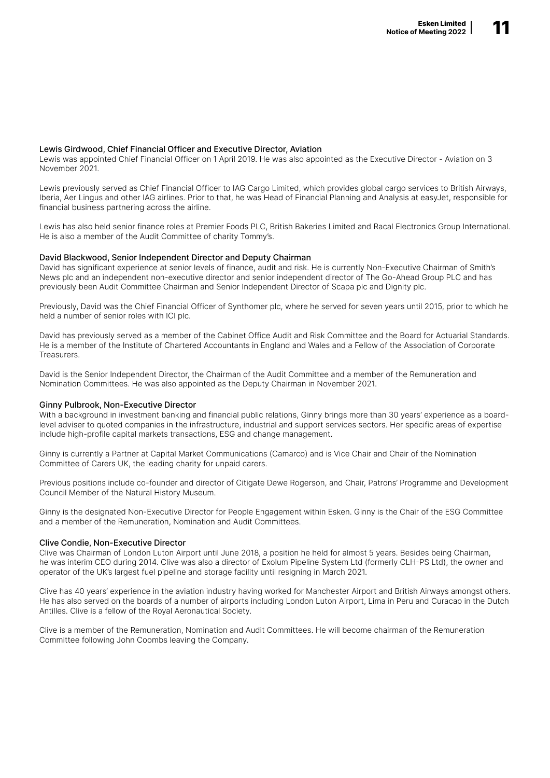### Lewis Girdwood, Chief Financial Officer and Executive Director, Aviation

Lewis was appointed Chief Financial Officer on 1 April 2019. He was also appointed as the Executive Director - Aviation on 3 November 2021.

Lewis previously served as Chief Financial Officer to IAG Cargo Limited, which provides global cargo services to British Airways, Iberia, Aer Lingus and other IAG airlines. Prior to that, he was Head of Financial Planning and Analysis at easyJet, responsible for financial business partnering across the airline.

Lewis has also held senior finance roles at Premier Foods PLC, British Bakeries Limited and Racal Electronics Group International. He is also a member of the Audit Committee of charity Tommy's.

### David Blackwood, Senior Independent Director and Deputy Chairman

David has significant experience at senior levels of finance, audit and risk. He is currently Non-Executive Chairman of Smith's News plc and an independent non-executive director and senior independent director of The Go-Ahead Group PLC and has previously been Audit Committee Chairman and Senior Independent Director of Scapa plc and Dignity plc.

Previously, David was the Chief Financial Officer of Synthomer plc, where he served for seven years until 2015, prior to which he held a number of senior roles with ICI plc.

David has previously served as a member of the Cabinet Office Audit and Risk Committee and the Board for Actuarial Standards. He is a member of the Institute of Chartered Accountants in England and Wales and a Fellow of the Association of Corporate **Treasurers** 

David is the Senior Independent Director, the Chairman of the Audit Committee and a member of the Remuneration and Nomination Committees. He was also appointed as the Deputy Chairman in November 2021.

### Ginny Pulbrook, Non-Executive Director

With a background in investment banking and financial public relations, Ginny brings more than 30 years' experience as a boardlevel adviser to quoted companies in the infrastructure, industrial and support services sectors. Her specific areas of expertise include high-profile capital markets transactions, ESG and change management.

Ginny is currently a Partner at Capital Market Communications (Camarco) and is Vice Chair and Chair of the Nomination Committee of Carers UK, the leading charity for unpaid carers.

Previous positions include co-founder and director of Citigate Dewe Rogerson, and Chair, Patrons' Programme and Development Council Member of the Natural History Museum.

Ginny is the designated Non-Executive Director for People Engagement within Esken. Ginny is the Chair of the ESG Committee and a member of the Remuneration, Nomination and Audit Committees.

### Clive Condie, Non-Executive Director

Clive was Chairman of London Luton Airport until June 2018, a position he held for almost 5 years. Besides being Chairman, he was interim CEO during 2014. Clive was also a director of Exolum Pipeline System Ltd (formerly CLH-PS Ltd), the owner and operator of the UK's largest fuel pipeline and storage facility until resigning in March 2021.

Clive has 40 years' experience in the aviation industry having worked for Manchester Airport and British Airways amongst others. He has also served on the boards of a number of airports including London Luton Airport, Lima in Peru and Curacao in the Dutch Antilles. Clive is a fellow of the Royal Aeronautical Society.

Clive is a member of the Remuneration, Nomination and Audit Committees. He will become chairman of the Remuneration Committee following John Coombs leaving the Company.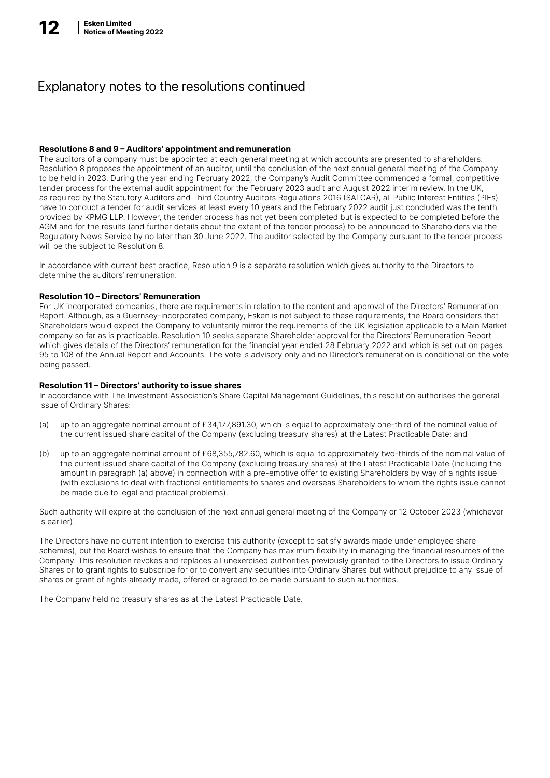## Explanatory notes to the resolutions continued

### Resolutions 8 and 9 – Auditors' appointment and remuneration

The auditors of a company must be appointed at each general meeting at which accounts are presented to shareholders. Resolution 8 proposes the appointment of an auditor, until the conclusion of the next annual general meeting of the Company to be held in 2023. During the year ending February 2022, the Company's Audit Committee commenced a formal, competitive tender process for the external audit appointment for the February 2023 audit and August 2022 interim review. In the UK, as required by the Statutory Auditors and Third Country Auditors Regulations 2016 (SATCAR), all Public Interest Entities (PIEs) have to conduct a tender for audit services at least every 10 years and the February 2022 audit just concluded was the tenth provided by KPMG LLP. However, the tender process has not yet been completed but is expected to be completed before the AGM and for the results (and further details about the extent of the tender process) to be announced to Shareholders via the Regulatory News Service by no later than 30 June 2022. The auditor selected by the Company pursuant to the tender process will be the subject to Resolution 8.

In accordance with current best practice, Resolution 9 is a separate resolution which gives authority to the Directors to determine the auditors' remuneration.

### Resolution 10 – Directors' Remuneration

For UK incorporated companies, there are requirements in relation to the content and approval of the Directors' Remuneration Report. Although, as a Guernsey-incorporated company, Esken is not subject to these requirements, the Board considers that Shareholders would expect the Company to voluntarily mirror the requirements of the UK legislation applicable to a Main Market company so far as is practicable. Resolution 10 seeks separate Shareholder approval for the Directors' Remuneration Report which gives details of the Directors' remuneration for the financial year ended 28 February 2022 and which is set out on pages 95 to 108 of the Annual Report and Accounts. The vote is advisory only and no Director's remuneration is conditional on the vote being passed.

### Resolution 11 – Directors' authority to issue shares

In accordance with The Investment Association's Share Capital Management Guidelines, this resolution authorises the general issue of Ordinary Shares:

- (a) up to an aggregate nominal amount of £34,177,891.30, which is equal to approximately one-third of the nominal value of the current issued share capital of the Company (excluding treasury shares) at the Latest Practicable Date; and
- (b) up to an aggregate nominal amount of £68,355,782.60, which is equal to approximately two-thirds of the nominal value of the current issued share capital of the Company (excluding treasury shares) at the Latest Practicable Date (including the amount in paragraph (a) above) in connection with a pre-emptive offer to existing Shareholders by way of a rights issue (with exclusions to deal with fractional entitlements to shares and overseas Shareholders to whom the rights issue cannot be made due to legal and practical problems).

Such authority will expire at the conclusion of the next annual general meeting of the Company or 12 October 2023 (whichever is earlier).

The Directors have no current intention to exercise this authority (except to satisfy awards made under employee share schemes), but the Board wishes to ensure that the Company has maximum flexibility in managing the financial resources of the Company. This resolution revokes and replaces all unexercised authorities previously granted to the Directors to issue Ordinary Shares or to grant rights to subscribe for or to convert any securities into Ordinary Shares but without prejudice to any issue of shares or grant of rights already made, offered or agreed to be made pursuant to such authorities.

The Company held no treasury shares as at the Latest Practicable Date.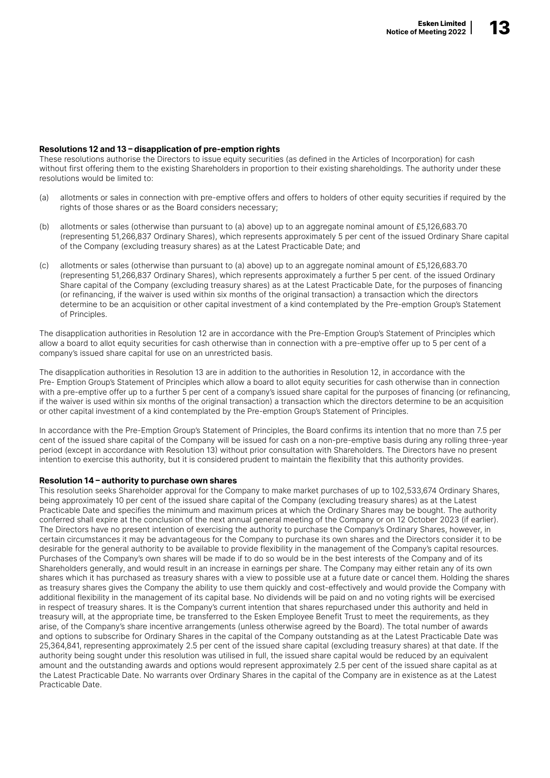### Resolutions 12 and 13 – disapplication of pre-emption rights

These resolutions authorise the Directors to issue equity securities (as defined in the Articles of Incorporation) for cash without first offering them to the existing Shareholders in proportion to their existing shareholdings. The authority under these resolutions would be limited to:

- (a) allotments or sales in connection with pre-emptive offers and offers to holders of other equity securities if required by the rights of those shares or as the Board considers necessary;
- (b) allotments or sales (otherwise than pursuant to (a) above) up to an aggregate nominal amount of £5,126,683.70 (representing 51,266,837 Ordinary Shares), which represents approximately 5 per cent of the issued Ordinary Share capital of the Company (excluding treasury shares) as at the Latest Practicable Date; and
- (c) allotments or sales (otherwise than pursuant to (a) above) up to an aggregate nominal amount of £5,126,683.70 (representing 51,266,837 Ordinary Shares), which represents approximately a further 5 per cent. of the issued Ordinary Share capital of the Company (excluding treasury shares) as at the Latest Practicable Date, for the purposes of financing (or refinancing, if the waiver is used within six months of the original transaction) a transaction which the directors determine to be an acquisition or other capital investment of a kind contemplated by the Pre-emption Group's Statement of Principles.

The disapplication authorities in Resolution 12 are in accordance with the Pre-Emption Group's Statement of Principles which allow a board to allot equity securities for cash otherwise than in connection with a pre-emptive offer up to 5 per cent of a company's issued share capital for use on an unrestricted basis.

The disapplication authorities in Resolution 13 are in addition to the authorities in Resolution 12, in accordance with the Pre- Emption Group's Statement of Principles which allow a board to allot equity securities for cash otherwise than in connection with a pre-emptive offer up to a further 5 per cent of a company's issued share capital for the purposes of financing (or refinancing, if the waiver is used within six months of the original transaction) a transaction which the directors determine to be an acquisition or other capital investment of a kind contemplated by the Pre-emption Group's Statement of Principles.

In accordance with the Pre-Emption Group's Statement of Principles, the Board confirms its intention that no more than 7.5 per cent of the issued share capital of the Company will be issued for cash on a non-pre-emptive basis during any rolling three-year period (except in accordance with Resolution 13) without prior consultation with Shareholders. The Directors have no present intention to exercise this authority, but it is considered prudent to maintain the flexibility that this authority provides.

### Resolution 14 – authority to purchase own shares

This resolution seeks Shareholder approval for the Company to make market purchases of up to 102,533,674 Ordinary Shares, being approximately 10 per cent of the issued share capital of the Company (excluding treasury shares) as at the Latest Practicable Date and specifies the minimum and maximum prices at which the Ordinary Shares may be bought. The authority conferred shall expire at the conclusion of the next annual general meeting of the Company or on 12 October 2023 (if earlier). The Directors have no present intention of exercising the authority to purchase the Company's Ordinary Shares, however, in certain circumstances it may be advantageous for the Company to purchase its own shares and the Directors consider it to be desirable for the general authority to be available to provide flexibility in the management of the Company's capital resources. Purchases of the Company's own shares will be made if to do so would be in the best interests of the Company and of its Shareholders generally, and would result in an increase in earnings per share. The Company may either retain any of its own shares which it has purchased as treasury shares with a view to possible use at a future date or cancel them. Holding the shares as treasury shares gives the Company the ability to use them quickly and cost-effectively and would provide the Company with additional flexibility in the management of its capital base. No dividends will be paid on and no voting rights will be exercised in respect of treasury shares. It is the Company's current intention that shares repurchased under this authority and held in treasury will, at the appropriate time, be transferred to the Esken Employee Benefit Trust to meet the requirements, as they arise, of the Company's share incentive arrangements (unless otherwise agreed by the Board). The total number of awards and options to subscribe for Ordinary Shares in the capital of the Company outstanding as at the Latest Practicable Date was 25,364,841, representing approximately 2.5 per cent of the issued share capital (excluding treasury shares) at that date. If the authority being sought under this resolution was utilised in full, the issued share capital would be reduced by an equivalent amount and the outstanding awards and options would represent approximately 2.5 per cent of the issued share capital as at the Latest Practicable Date. No warrants over Ordinary Shares in the capital of the Company are in existence as at the Latest Practicable Date.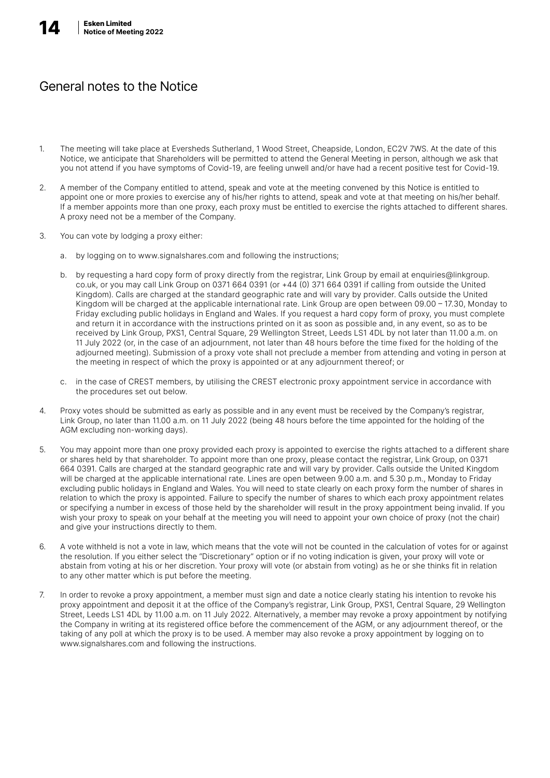# General notes to the Notice

- 1. The meeting will take place at Eversheds Sutherland, 1 Wood Street, Cheapside, London, EC2V 7WS. At the date of this Notice, we anticipate that Shareholders will be permitted to attend the General Meeting in person, although we ask that you not attend if you have symptoms of Covid-19, are feeling unwell and/or have had a recent positive test for Covid-19.
- 2. A member of the Company entitled to attend, speak and vote at the meeting convened by this Notice is entitled to appoint one or more proxies to exercise any of his/her rights to attend, speak and vote at that meeting on his/her behalf. If a member appoints more than one proxy, each proxy must be entitled to exercise the rights attached to different shares. A proxy need not be a member of the Company.
- 3. You can vote by lodging a proxy either:
	- a. by logging on to www.signalshares.com and following the instructions;
	- b. by requesting a hard copy form of proxy directly from the registrar, Link Group by email at enquiries@linkgroup. co.uk, or you may call Link Group on 0371 664 0391 (or +44 (0) 371 664 0391 if calling from outside the United Kingdom). Calls are charged at the standard geographic rate and will vary by provider. Calls outside the United Kingdom will be charged at the applicable international rate. Link Group are open between 09.00 – 17.30, Monday to Friday excluding public holidays in England and Wales. If you request a hard copy form of proxy, you must complete and return it in accordance with the instructions printed on it as soon as possible and, in any event, so as to be received by Link Group, PXS1, Central Square, 29 Wellington Street, Leeds LS1 4DL by not later than 11.00 a.m. on 11 July 2022 (or, in the case of an adjournment, not later than 48 hours before the time fixed for the holding of the adjourned meeting). Submission of a proxy vote shall not preclude a member from attending and voting in person at the meeting in respect of which the proxy is appointed or at any adjournment thereof; or
	- c. in the case of CREST members, by utilising the CREST electronic proxy appointment service in accordance with the procedures set out below.
- 4. Proxy votes should be submitted as early as possible and in any event must be received by the Company's registrar, Link Group, no later than 11.00 a.m. on 11 July 2022 (being 48 hours before the time appointed for the holding of the AGM excluding non-working days).
- 5. You may appoint more than one proxy provided each proxy is appointed to exercise the rights attached to a different share or shares held by that shareholder. To appoint more than one proxy, please contact the registrar, Link Group, on 0371 664 0391. Calls are charged at the standard geographic rate and will vary by provider. Calls outside the United Kingdom will be charged at the applicable international rate. Lines are open between 9.00 a.m. and 5.30 p.m., Monday to Friday excluding public holidays in England and Wales. You will need to state clearly on each proxy form the number of shares in relation to which the proxy is appointed. Failure to specify the number of shares to which each proxy appointment relates or specifying a number in excess of those held by the shareholder will result in the proxy appointment being invalid. If you wish your proxy to speak on your behalf at the meeting you will need to appoint your own choice of proxy (not the chair) and give your instructions directly to them.
- 6. A vote withheld is not a vote in law, which means that the vote will not be counted in the calculation of votes for or against the resolution. If you either select the "Discretionary" option or if no voting indication is given, your proxy will vote or abstain from voting at his or her discretion. Your proxy will vote (or abstain from voting) as he or she thinks fit in relation to any other matter which is put before the meeting.
- 7. In order to revoke a proxy appointment, a member must sign and date a notice clearly stating his intention to revoke his proxy appointment and deposit it at the office of the Company's registrar, Link Group, PXS1, Central Square, 29 Wellington Street, Leeds LS1 4DL by 11.00 a.m. on 11 July 2022. Alternatively, a member may revoke a proxy appointment by notifying the Company in writing at its registered office before the commencement of the AGM, or any adjournment thereof, or the taking of any poll at which the proxy is to be used. A member may also revoke a proxy appointment by logging on to www.signalshares.com and following the instructions.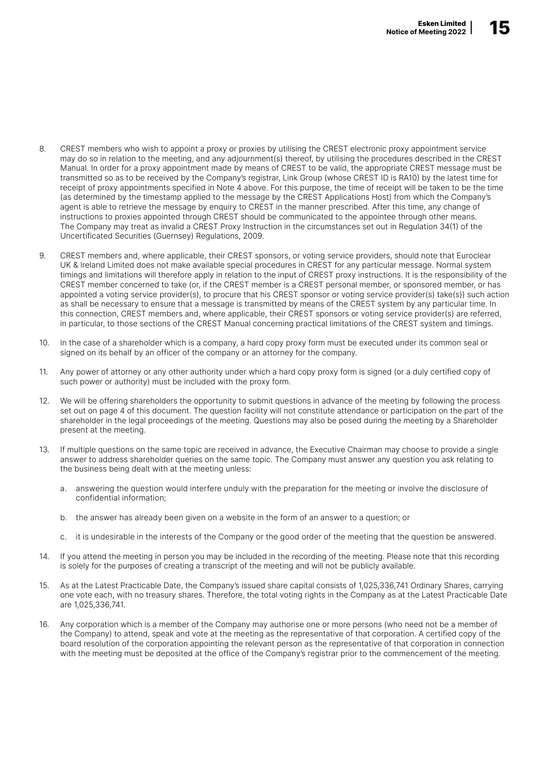- 8. CREST members who wish to appoint a proxy or proxies by utilising the CREST electronic proxy appointment service may do so in relation to the meeting, and any adjournment(s) thereof, by utilising the procedures described in the CREST Manual. In order for a proxy appointment made by means of CREST to be valid, the appropriate CREST message must be transmitted so as to be received by the Company's registrar, Link Group (whose CREST ID is RA10) by the latest time for receipt of proxy appointments specified in Note 4 above. For this purpose, the time of receipt will be taken to be the time (as determined by the timestamp applied to the message by the CREST Applications Host) from which the Company's agent is able to retrieve the message by enquiry to CREST in the manner prescribed. After this time, any change of instructions to proxies appointed through CREST should be communicated to the appointee through other means. The Company may treat as invalid a CREST Proxy Instruction in the circumstances set out in Regulation 34(1) of the Uncertificated Securities (Guernsey) Regulations, 2009.
- 9. CREST members and, where applicable, their CREST sponsors, or voting service providers, should note that Euroclear UK & Ireland Limited does not make available special procedures in CREST for any particular message. Normal system timings and limitations will therefore apply in relation to the input of CREST proxy instructions. It is the responsibility of the CREST member concerned to take (or, if the CREST member is a CREST personal member, or sponsored member, or has appointed a voting service provider(s), to procure that his CREST sponsor or voting service provider(s) take(s)) such action as shall be necessary to ensure that a message is transmitted by means of the CREST system by any particular time. In this connection, CREST members and, where applicable, their CREST sponsors or voting service provider(s) are referred, in particular, to those sections of the CREST Manual concerning practical limitations of the CREST system and timings.
- 10. In the case of a shareholder which is a company, a hard copy proxy form must be executed under its common seal or signed on its behalf by an officer of the company or an attorney for the company.
- 11. Any power of attorney or any other authority under which a hard copy proxy form is signed (or a duly certified copy of such power or authority) must be included with the proxy form.
- 12. We will be offering shareholders the opportunity to submit questions in advance of the meeting by following the process set out on page 4 of this document. The question facility will not constitute attendance or participation on the part of the shareholder in the legal proceedings of the meeting. Questions may also be posed during the meeting by a Shareholder present at the meeting.
- 13. If multiple questions on the same topic are received in advance, the Executive Chairman may choose to provide a single answer to address shareholder queries on the same topic. The Company must answer any question you ask relating to the business being dealt with at the meeting unless:
	- a. answering the question would interfere unduly with the preparation for the meeting or involve the disclosure of confidential information;
	- b. the answer has already been given on a website in the form of an answer to a question; or
	- c. it is undesirable in the interests of the Company or the good order of the meeting that the question be answered.
- 14. If you attend the meeting in person you may be included in the recording of the meeting. Please note that this recording is solely for the purposes of creating a transcript of the meeting and will not be publicly available.
- 15. As at the Latest Practicable Date, the Company's issued share capital consists of 1,025,336,741 Ordinary Shares, carrying one vote each, with no treasury shares. Therefore, the total voting rights in the Company as at the Latest Practicable Date are 1,025,336,741.
- 16. Any corporation which is a member of the Company may authorise one or more persons (who need not be a member of the Company) to attend, speak and vote at the meeting as the representative of that corporation. A certified copy of the board resolution of the corporation appointing the relevant person as the representative of that corporation in connection with the meeting must be deposited at the office of the Company's registrar prior to the commencement of the meeting.